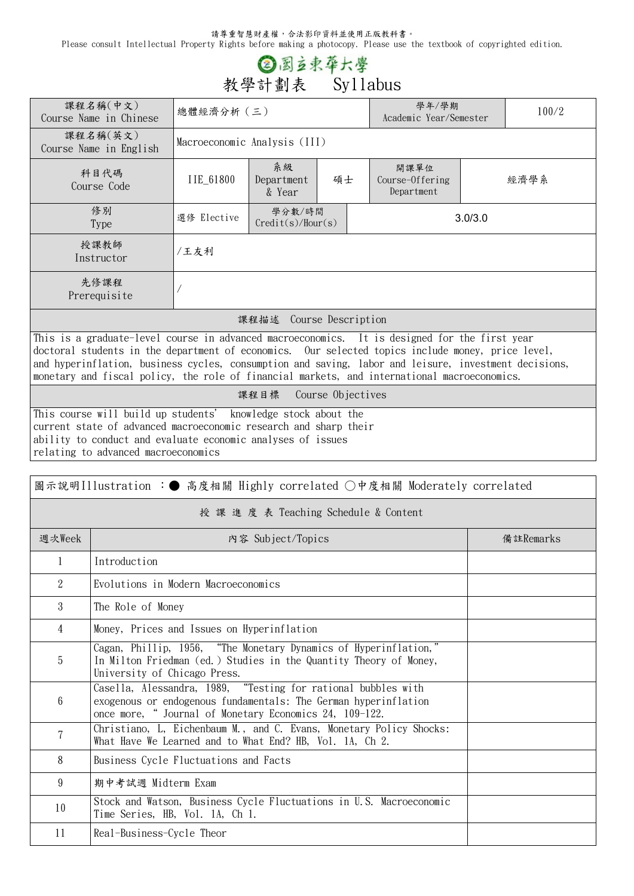請尊重智慧財產權,合法影印資料並使用正版教科書。

Please consult Intellectual Property Rights before making a photocopy. Please use the textbook of copyrighted edition.

## ◎ 國立東華大學 **教學計劃表 Syllabus**

| 課程名稱(中文)<br>Course Name in Chinese                                                                                                                                                                                                                                                                                                                                                                                                 | 總體經濟分析 (三)                   |                             |    |                                       | 學年/學期<br>Academic Year/Semester |  |  |  |
|------------------------------------------------------------------------------------------------------------------------------------------------------------------------------------------------------------------------------------------------------------------------------------------------------------------------------------------------------------------------------------------------------------------------------------|------------------------------|-----------------------------|----|---------------------------------------|---------------------------------|--|--|--|
| 課程名稱(英文)<br>Course Name in English                                                                                                                                                                                                                                                                                                                                                                                                 | Macroeconomic Analysis (III) |                             |    |                                       |                                 |  |  |  |
| 科目代碼<br>Course Code                                                                                                                                                                                                                                                                                                                                                                                                                | IIE_61800                    | 系級<br>Department<br>& Year  | 碩士 | 開課單位<br>Course-Offering<br>Department | 經濟學系                            |  |  |  |
| 修別<br>Type                                                                                                                                                                                                                                                                                                                                                                                                                         | 選修 Elective                  | 學分數/時間<br>Credit(s)/Hour(s) |    |                                       | 3.0/3.0                         |  |  |  |
| 授課教師<br>Instructor                                                                                                                                                                                                                                                                                                                                                                                                                 | /王友利                         |                             |    |                                       |                                 |  |  |  |
| 先修課程<br>Prerequisite                                                                                                                                                                                                                                                                                                                                                                                                               |                              |                             |    |                                       |                                 |  |  |  |
| 課程描述 Course Description                                                                                                                                                                                                                                                                                                                                                                                                            |                              |                             |    |                                       |                                 |  |  |  |
| This is a graduate-level course in advanced macroeconomics. It is designed for the first year                                                                                                                                                                                                                                                                                                                                      |                              |                             |    |                                       |                                 |  |  |  |
| doctoral students in the department of economics. Our selected topics include money, price level,                                                                                                                                                                                                                                                                                                                                  |                              |                             |    |                                       |                                 |  |  |  |
| and hyperinflation, business cycles, consumption and saving, labor and leisure, investment decisions,                                                                                                                                                                                                                                                                                                                              |                              |                             |    |                                       |                                 |  |  |  |
| monetary and fiscal policy, the role of financial markets, and international macroeconomics.<br>$\mathbf{u}$ $\mathbf{u}$ $\mathbf{u}$ $\mathbf{u}$ $\mathbf{u}$ $\mathbf{u}$ $\mathbf{u}$ $\mathbf{u}$ $\mathbf{u}$ $\mathbf{u}$ $\mathbf{u}$ $\mathbf{u}$ $\mathbf{u}$ $\mathbf{u}$ $\mathbf{u}$ $\mathbf{u}$ $\mathbf{u}$ $\mathbf{u}$ $\mathbf{u}$ $\mathbf{u}$ $\mathbf{u}$ $\mathbf{u}$ $\mathbf{u}$ $\mathbf{u}$ $\mathbf{$ |                              |                             |    |                                       |                                 |  |  |  |

**課程目標 Course Objectives**

This course will build up students' knowledge stock about the current state of advanced macroeconomic research and sharp their ability to conduct and evaluate economic analyses of issues relating to advanced macroeconomics

| 圖示說明Illustration : ● 高度相關 Highly correlated ○中度相關 Moderately correlated |                                                                                                                                                                                            |           |  |  |  |  |
|-------------------------------------------------------------------------|--------------------------------------------------------------------------------------------------------------------------------------------------------------------------------------------|-----------|--|--|--|--|
| 授 課 進 度 表 Teaching Schedule & Content                                   |                                                                                                                                                                                            |           |  |  |  |  |
| 週次Week                                                                  | 内容 Subject/Topics                                                                                                                                                                          | 備註Remarks |  |  |  |  |
| $\mathbf{1}$                                                            | Introduction                                                                                                                                                                               |           |  |  |  |  |
| 2                                                                       | Evolutions in Modern Macroeconomics                                                                                                                                                        |           |  |  |  |  |
| $\mathcal{S}$                                                           | The Role of Money                                                                                                                                                                          |           |  |  |  |  |
| $\overline{4}$                                                          | Money, Prices and Issues on Hyperinflation                                                                                                                                                 |           |  |  |  |  |
| 5                                                                       | Cagan, Phillip, 1956, "The Monetary Dynamics of Hyperinflation,"<br>In Milton Friedman (ed.) Studies in the Quantity Theory of Money,<br>University of Chicago Press.                      |           |  |  |  |  |
| 6                                                                       | Casella, Alessandra, 1989, "Testing for rational bubbles with<br>exogenous or endogenous fundamentals: The German hyperinflation<br>once more, "Journal of Monetary Economics 24, 109-122. |           |  |  |  |  |
| 7                                                                       | Christiano, L, Eichenbaum M., and C. Evans, Monetary Policy Shocks:<br>What Have We Learned and to What End? HB, Vol. 1A, Ch 2.                                                            |           |  |  |  |  |
| 8                                                                       | Business Cycle Fluctuations and Facts                                                                                                                                                      |           |  |  |  |  |
| 9                                                                       | 期中考試週 Midterm Exam                                                                                                                                                                         |           |  |  |  |  |
| 10                                                                      | Stock and Watson, Business Cycle Fluctuations in U.S. Macroeconomic<br>Time Series, HB, Vol. 1A, Ch 1.                                                                                     |           |  |  |  |  |
| 11                                                                      | Real-Business-Cycle Theor                                                                                                                                                                  |           |  |  |  |  |